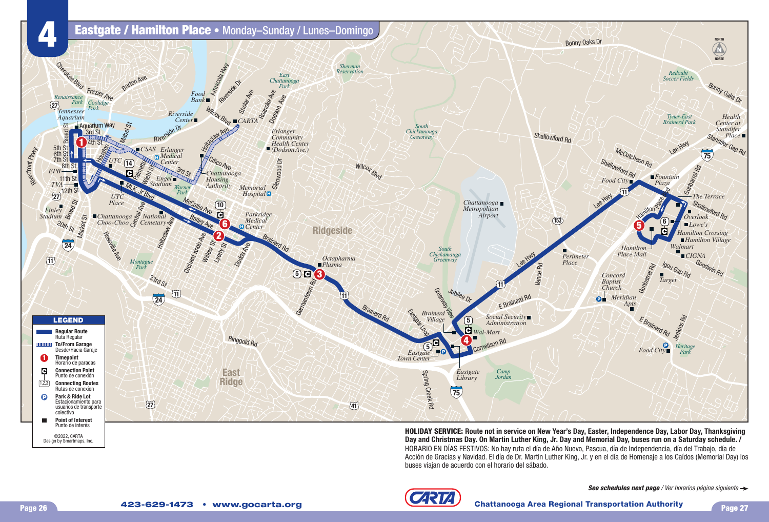

**HOLIDAY SERVICE: Route not in service on New Year's Day, Easter, Independence Day, Labor Day, Thanksgiving Day and Christmas Day. On Martin Luther King, Jr. Day and Memorial Day, buses run on a Saturday schedule. /** HORARIO EN DÍAS FESTIVOS: No hay ruta el día de Año Nuevo, Pascua, día de Independencia, día del Trabajo, día de Acción de Gracias y Navidad. El día de Dr. Martin Luther King, Jr. y en el día de Homenaje a los Caídos (Memorial Day) los buses viajan de acuerdo con el horario del sábado.



Design by Smartmaps, Inc.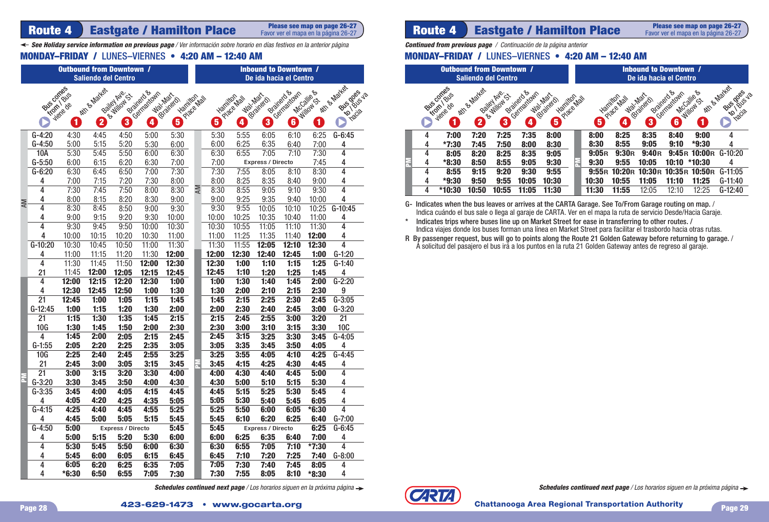Favor ver el mapa en la página 26-27

*See Holiday service information on previous page* / Ver información sobre horario en días festivos en la anterior página

|           |                 |                  |                            | <b>Outbound from Downtown /</b> |                           |                                                 | <b>Inbound to Downtown /</b><br>De ida hacia el Centro |                         |                         |                          |                          |              |                              |  |
|-----------|-----------------|------------------|----------------------------|---------------------------------|---------------------------|-------------------------------------------------|--------------------------------------------------------|-------------------------|-------------------------|--------------------------|--------------------------|--------------|------------------------------|--|
|           |                 |                  | <b>Saliendo del Centro</b> |                                 |                           |                                                 |                                                        |                         |                         |                          |                          |              |                              |  |
|           | Buscomes        |                  | Attr & Matest              | Bailey Ave.                     | Brainerd &<br>Centrationn |                                                 |                                                        |                         |                         |                          | Brainerd &<br>Germantown | McGalles     | Kith & Market<br>Rico Busica |  |
|           |                 | <b>Kromi Bus</b> |                            | B William CX                    |                           | War Mar<br>Hanilton<br>Prace Mall<br>(Brainerd) |                                                        | Hamilton                | War Mar<br>Prace Mall   | refations.               |                          | Willows      |                              |  |
|           |                 | viene de         |                            |                                 |                           |                                                 |                                                        |                         |                         |                          |                          |              | Inacia                       |  |
|           |                 | 1                | $\overline{\mathbf{2}}$    | 3                               | $\overline{\mathbf{4}}$   | $\overline{\bf{5}}$                             |                                                        | $\overline{\mathbf{5}}$ | $\overline{\mathbf{4}}$ | 3                        | $\overline{\mathbf{6}}$  | $\mathbf{1}$ |                              |  |
|           | $G-4:20$        | 4:30             | 4:45                       | 4:50                            | 5:00                      | 5:30                                            |                                                        | 5:30                    | 5:55                    | 6:05                     | 6:10                     | 6:25         | $G-6:45$                     |  |
|           | $G-4:50$        | 5:00             | 5:15                       | 5:20                            | 5:30                      | 6:00                                            |                                                        | 6:00                    | 6:25                    | 6:35                     | 6:40                     | 7:00         | 4                            |  |
|           | 10A             | 5:30             | 5:45                       | 5:50                            | 6:00                      | 6:30                                            |                                                        | 6:30                    | 6:55                    | 7:05                     | 7:10                     | 7:30         | 4                            |  |
|           | $G-5:50$        | 6:00             | 6:15                       | 6:20                            | 6:30                      | 7:00                                            |                                                        | 7:00                    |                         | <b>Express / Directo</b> |                          | 7:45         | 4                            |  |
|           | $G - 6:20$      | 6:30             | 6:45                       | 6:50                            | 7:00                      | 7:30                                            |                                                        | 7:30                    | 7:55                    | 8:05                     | 8:10                     | 8:30         | 4                            |  |
|           | 4               | 7:00             | 7:15                       | 7:20                            | 7:30                      | 8:00                                            |                                                        | 8:00                    | 8:25                    | 8:35                     | 8:40                     | 9:00         | 4                            |  |
|           | 4               | 7:30             | 7:45                       | 7:50                            | 8:00                      | 8:30                                            | ΚM                                                     | 8:30                    | 8:55                    | 9:05                     | 9:10                     | 9:30         | 4                            |  |
| <b>AM</b> | 4               | 8:00             | 8:15                       | 8:20                            | 8:30                      | 9:00                                            |                                                        | 9:00                    | 9:25                    | 9:35                     | 9:40                     | 10:00        | 4                            |  |
|           | 4               | 8:30             | 8:45                       | 8:50                            | 9:00                      | 9:30                                            |                                                        | 9:30                    | 9:55                    | 10:05                    | 10:10                    | 10:25        | $G-10:45$                    |  |
|           | 4               | 9:00             | 9:15                       | 9:20                            | 9:30                      | 10:00                                           |                                                        | 10:00                   | 10:25                   | 10:35                    | 10:40                    | 11:00        | 4                            |  |
|           | 4               | 9:30             | 9:45                       | 9:50                            | 10:00                     | 10:30                                           |                                                        | 10:30                   | 10:55                   | 11:05                    | 11:10                    | 11:30        | 4                            |  |
|           | 4               | 10:00            | 10:15                      | 10:20                           | 10:30                     | 11:00                                           |                                                        | 11:00                   | 11:25                   | 11:35                    | 11:40                    | 12:00        | 4                            |  |
|           | $G-10:20$       | 10:30            | 10:45                      | 10:50                           | 11:00                     | 11:30                                           |                                                        | 11:30                   | 11:55                   | 12:05                    | 12:10                    | 12:30        | 4                            |  |
|           | 4               | 11:00            | 11:15                      | 11:20                           | 11:30                     | 12:00                                           |                                                        | 12:00                   | 12:30                   | 12:40                    | 12:45                    | 1:00         | $G-1:20$                     |  |
|           | 4               | 11:30            | 11:45                      | 11:50                           | 12:00                     | 12:30                                           |                                                        | 12:30                   | 1:00                    | 1:10                     | 1:15                     | 1:25         | $G-1:40$                     |  |
|           | 21              | 11:45            | 12:00                      | 12:05                           | 12:15                     | 12:45                                           |                                                        | 12:45                   | 1:10                    | 1:20                     | 1:25                     | 1:45         | 4                            |  |
|           | 4               | 12:00            | 12:15                      | 12:20                           | 12:30                     | 1:00                                            |                                                        | 1:00                    | 1:30                    | 1:40                     | 1:45                     | 2:00         | $G-2:20$                     |  |
|           | 4               | 12:30            | 12:45                      | 12:50                           | 1:00                      | 1:30                                            |                                                        | 1:30                    | 2:00                    | 2:10                     | 2:15                     | 2:30         | 9                            |  |
|           | $\overline{21}$ | 12:45            | 1:00                       | 1:05                            | 1:15                      | 1:45                                            |                                                        | 1:45                    | 2:15                    | 2:25                     | 2:30                     | 2:45         | $G-3:05$                     |  |
|           | $G-12:45$       | 1:00             | 1:15                       | 1:20                            | 1:30                      | 2:00                                            |                                                        | 2:00                    | 2:30                    | 2:40                     | 2:45                     | 3:00         | $G-3:20$                     |  |
|           | 21              | 1:15             | 1:30                       | 1:35                            | 1:45                      | 2:15                                            |                                                        | 2:15                    | 2:45                    | 2:55                     | 3:00                     | 3:20         | 21                           |  |
|           | 10G             | 1:30             | 1:45                       | 1:50                            | 2:00                      | 2:30                                            |                                                        | 2:30                    | 3:00                    | 3:10                     | 3:15                     | 3:30         | <b>10C</b>                   |  |
|           | 4               | 1:45             | 2:00                       | 2:05                            | 2:15                      | 2:45                                            |                                                        | 2:45                    | 3:15                    | 3:25                     | 3:30                     | 3:45         | $G-4:05$                     |  |
|           | $G-1:55$        | 2:05             | 2:20                       | 2:25                            | 2:35                      | 3:05                                            |                                                        | 3:05                    | 3:35                    | 3:45                     | 3:50                     | 4:05         | 4                            |  |
|           | <b>10G</b>      | 2:25             | 2:40                       | 2:45                            | 2:55                      | 3:25                                            |                                                        | 3:25                    | 3:55                    | 4:05                     | 4:10                     | 4:25         | $G-4:45$                     |  |
|           | 21              | 2:45             | 3:00                       | 3:05                            | 3:15                      | 3:45                                            |                                                        | 3:45                    | 4:15                    | 4:25                     | 4:30                     | 4:45         | 4                            |  |
|           | $\overline{21}$ | 3:00             | 3:15                       | 3:20                            | 3:30                      | 4:00                                            |                                                        | 4:00                    | 4:30                    | 4:40                     | 4:45                     | 5:00         | 4                            |  |
|           | $G-3:20$        | 3:30             | 3:45                       | 3:50                            | 4:00                      | 4:30                                            |                                                        | 4:30                    | 5:00                    | 5:10                     | 5:15                     | 5:30         | 4                            |  |
|           | $G-3:35$        | 3:45             | 4:00                       | 4:05                            | 4:15                      | 4:45                                            |                                                        | 4:45                    | 5:15                    | 5:25                     | 5:30                     | 5:45         | 4                            |  |
|           | 4               | 4:05             | 4:20                       | 4:25                            | 4:35                      | 5:05                                            |                                                        | 5:05                    | 5:30                    | 5:40                     | 5:45                     | 6:05         | 4                            |  |
|           | $G-4:15$        | 4:25             | 4:40                       | 4:45                            | 4:55                      | 5:25                                            |                                                        | 5:25                    | 5:50                    | 6:00                     | 6:05                     | $*6:30$      | 4                            |  |
|           | 4               | 4:45             | 5:00                       | 5:05                            | 5:15                      | 5:45                                            |                                                        | 5:45                    | 6:10                    | 6:20                     | 6:25                     | 6:40         | $G - 7:00$                   |  |
|           | $G-4:50$        | 5:00             |                            | <b>Express / Directo</b>        |                           | 5:45                                            |                                                        | 5:45                    |                         | <b>Express / Directo</b> |                          | 6:25         | $G-6:45$                     |  |
|           | 4               | 5:00             | 5:15                       | 5:20                            | 5:30                      | 6:00                                            |                                                        | 6:00                    | 6:25                    | 6:35                     | 6:40                     | 7:00         | 4                            |  |
|           | 4               | 5:30             | 5:45                       | 5:50                            | 6:00                      | 6:30                                            |                                                        | 6:30                    | 6:55                    | 7:05                     | 7:10                     | $*7:30$      | 4                            |  |
|           | 4               | 5:45             | 6:00                       | 6:05                            | 6:15                      | 6:45                                            |                                                        | 6:45                    | 7:10                    | 7:20                     | 7:25                     | 7:40         | $G-8:00$                     |  |
|           | 4               | 6:05             | 6:20                       | 6:25                            | 6:35                      | 7:05                                            |                                                        | 7:05                    | 7:30                    | 7:40                     | 7:45                     | 8:05         | 4                            |  |
|           | 4               | $*6:30$          | 6:50                       | 6:55                            | 7:05                      | 7:30                                            |                                                        | 7:30                    | 7:55                    | 8:05                     | 8:10                     | $*8:30$      | 4                            |  |

**Schedules continued next page** / Los horarios siguen en la próxima página  $\rightarrow$ 

## **Route 4 | Eastgate / Hamilton Place** *Rease see map on page 26-27* **| <b>Route 4 | Eastgate / Hamilton Place**

**Please see map on page 26-27** Favor ver el mapa en la página 26-27

*Continued from previous page* / Continuación de la página anterior

### **MONDAY–FRIDAY /** LUNES–VIERNES • 4:20 AM – 12:40 AM MONDAY–FRIDAY / LUNES–VIERNES • 4:20 AM – 12:40 AM

| <b>Outbound from Downtown /</b><br><b>Saliendo del Centro</b> |   |                                |                                          |                                                    |                                                     |                                        |            |  | <b>Inbound to Downtown /</b><br>De ida hacia el Centro |                                       |                                            |                              |                                 |                                                          |  |
|---------------------------------------------------------------|---|--------------------------------|------------------------------------------|----------------------------------------------------|-----------------------------------------------------|----------------------------------------|------------|--|--------------------------------------------------------|---------------------------------------|--------------------------------------------|------------------------------|---------------------------------|----------------------------------------------------------|--|
|                                                               |   | Bus comes<br><b>Jiene</b><br>1 | Attn & Market<br>$\overline{\mathbf{2}}$ | Bailey Ave.<br>& Willow<br>$\overline{\mathbf{3}}$ | Brainerd &<br>Germantown<br>$\overline{\mathbf{4}}$ | Wat Mart<br>Hamilton<br>@ fairerd<br>Ø | Place Mall |  | Hamiton<br>8                                           | Wat Mart<br>Place Mall<br>$\boxed{4}$ | Brainsta <sup>&amp;</sup><br>@rainerd<br>3 | McCalie &<br>Germantown<br>6 | Atth & Matter<br>Willow St<br>1 | Bus goes<br>18US VB<br>nacia<br>$\kappa_{\mathcal{O}}$ , |  |
|                                                               | 4 | 7:00                           | 7:20                                     | 7:25                                               | 7:35                                                | 8:00                                   |            |  | 8:00                                                   | 8:25                                  | 8:35                                       | 8:40                         | 9:00                            | 4                                                        |  |
|                                                               | 4 | *7:30                          | 7:45                                     | 7:50                                               | 8:00                                                | 8:30                                   |            |  | 8:30                                                   | 8:55                                  | 9:05                                       | 9:10                         | *9:30                           | 4                                                        |  |
|                                                               | 4 | 8:05                           | 8:20                                     | 8:25                                               | 8:35                                                | 9:05                                   |            |  | 9:05R                                                  | 9:30R                                 | 9:40R                                      | 9:45R                        | 10:00R                          | $G-10:20$                                                |  |
|                                                               | 4 | *8:30                          | 8:50                                     | 8:55                                               | 9:05                                                | 9:30                                   | F          |  | 9:30                                                   | 9:55                                  | 10:05                                      | 10:10                        | *10:30                          | 4                                                        |  |
|                                                               | 4 | 8:55                           | 9:15                                     | 9:20                                               | 9:30                                                | 9:55                                   |            |  | 9:55R                                                  | 10:20R                                | 10:30R                                     | 10:35R                       | 10:50R                          | $G-11:05$                                                |  |
|                                                               | 4 | *9:30                          | 9:50                                     | 9:55                                               | 10:05                                               | 10:30                                  |            |  | 10:30                                                  | 10:55                                 | 11:05                                      | 11:10                        | 11:25                           | $G-11:40$                                                |  |
|                                                               | 4 | *10:30                         | 10:50                                    | 10:55                                              | 11:05                                               | 11:30                                  |            |  | 11:30                                                  | 11:55                                 | 12:05                                      | 12:10                        | 12:25                           | $G-12:40$                                                |  |

G- Indicates when the bus leaves or arrives at the CARTA Garage. See To/From Garage routing on map. / Indica cuándo el bus sale o llega al garaje de CARTA. Ver en el mapa la ruta de servicio Desde/Hacia Garaje.

\* Indicates trips where buses line up on Market Street for ease in transferring to other routes. / Indica viajes donde los buses forman una línea en Market Street para facilitar el trasbordo hacia otras rutas.

R By passenger request, bus will go to points along the Route 21 Golden Gateway before returning to garage. / A solicitud del pasajero el bus irá a los puntos en la ruta 21 Golden Gateway antes de regreso al garaje.